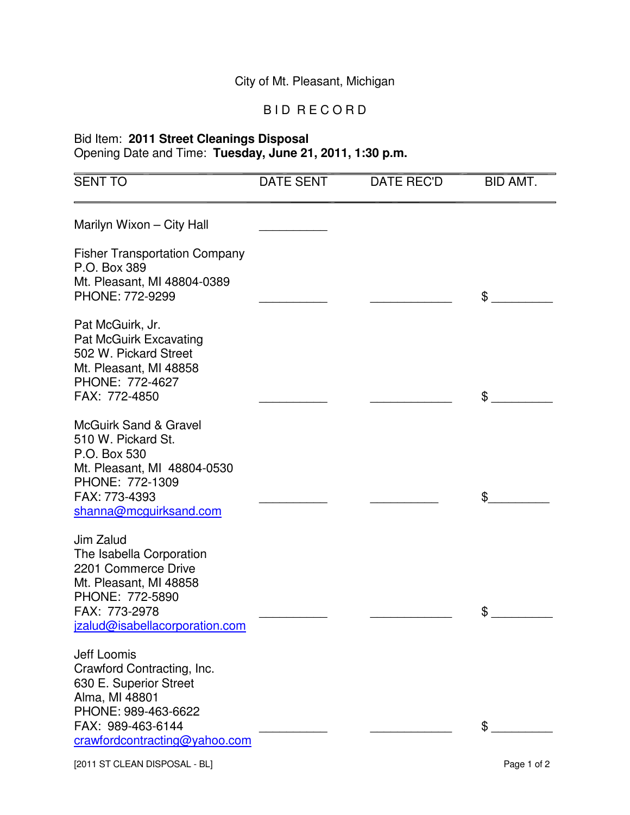## City of Mt. Pleasant, Michigan

## B I D R E C O R D

## Bid Item: **2011 Street Cleanings Disposal** Opening Date and Time: **Tuesday, June 21, 2011, 1:30 p.m.**

| <b>SENT TO</b>                                                                                                                                                      | <b>DATE SENT</b> | <b>DATE REC'D</b> | BID AMT.    |
|---------------------------------------------------------------------------------------------------------------------------------------------------------------------|------------------|-------------------|-------------|
| Marilyn Wixon - City Hall                                                                                                                                           |                  |                   |             |
| <b>Fisher Transportation Company</b><br>P.O. Box 389<br>Mt. Pleasant, MI 48804-0389<br>PHONE: 772-9299                                                              |                  |                   | \$          |
| Pat McGuirk, Jr.<br><b>Pat McGuirk Excavating</b><br>502 W. Pickard Street<br>Mt. Pleasant, MI 48858<br>PHONE: 772-4627<br>FAX: 772-4850                            |                  |                   | \$          |
| <b>McGuirk Sand &amp; Gravel</b><br>510 W. Pickard St.<br>P.O. Box 530<br>Mt. Pleasant, MI 48804-0530<br>PHONE: 772-1309<br>FAX: 773-4393<br>shanna@mcguirksand.com |                  |                   | \$          |
| Jim Zalud<br>The Isabella Corporation<br>2201 Commerce Drive<br>Mt. Pleasant, MI 48858<br>PHONE: 772-5890<br>FAX: 773-2978<br>jzalud@isabellacorporation.com        |                  |                   | \$          |
| Jeff Loomis<br>Crawford Contracting, Inc.<br>630 E. Superior Street<br>Alma, MI 48801<br>PHONE: 989-463-6622<br>FAX: 989-463-6144<br>crawfordcontracting@yahoo.com  |                  |                   | \$          |
| [2011 ST CLEAN DISPOSAL - BL]                                                                                                                                       |                  |                   | Page 1 of 2 |